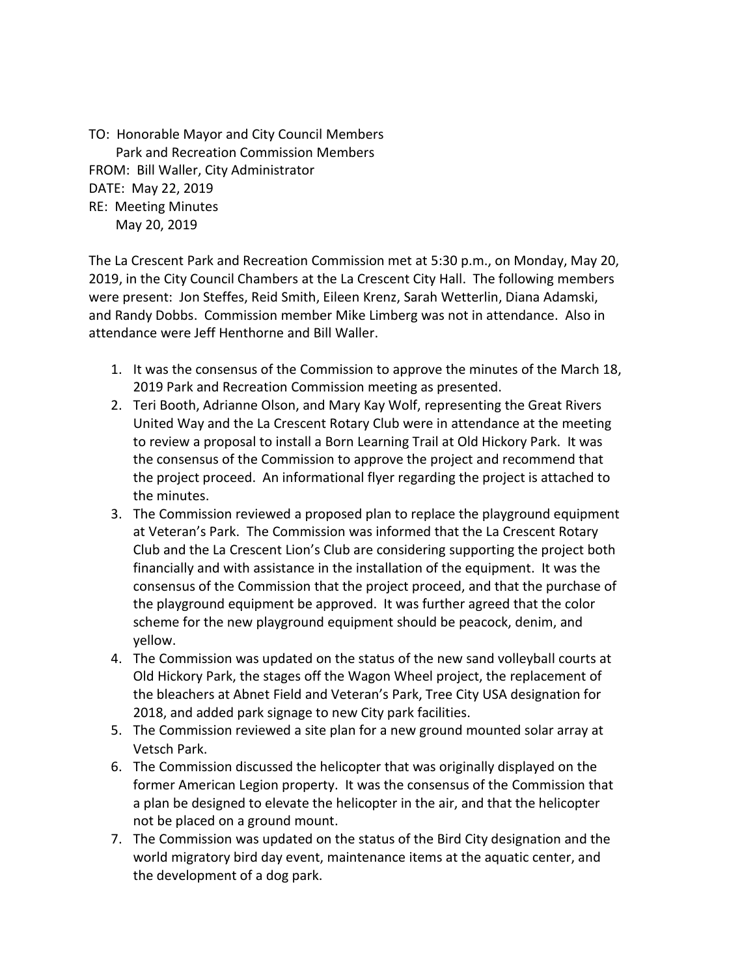TO: Honorable Mayor and City Council Members Park and Recreation Commission Members FROM: Bill Waller, City Administrator DATE: May 22, 2019 RE: Meeting Minutes May 20, 2019

The La Crescent Park and Recreation Commission met at 5:30 p.m., on Monday, May 20, 2019, in the City Council Chambers at the La Crescent City Hall. The following members were present: Jon Steffes, Reid Smith, Eileen Krenz, Sarah Wetterlin, Diana Adamski, and Randy Dobbs. Commission member Mike Limberg was not in attendance. Also in attendance were Jeff Henthorne and Bill Waller.

- 1. It was the consensus of the Commission to approve the minutes of the March 18, 2019 Park and Recreation Commission meeting as presented.
- 2. Teri Booth, Adrianne Olson, and Mary Kay Wolf, representing the Great Rivers United Way and the La Crescent Rotary Club were in attendance at the meeting to review a proposal to install a Born Learning Trail at Old Hickory Park. It was the consensus of the Commission to approve the project and recommend that the project proceed. An informational flyer regarding the project is attached to the minutes.
- 3. The Commission reviewed a proposed plan to replace the playground equipment at Veteran's Park. The Commission was informed that the La Crescent Rotary Club and the La Crescent Lion's Club are considering supporting the project both financially and with assistance in the installation of the equipment. It was the consensus of the Commission that the project proceed, and that the purchase of the playground equipment be approved. It was further agreed that the color scheme for the new playground equipment should be peacock, denim, and yellow.
- 4. The Commission was updated on the status of the new sand volleyball courts at Old Hickory Park, the stages off the Wagon Wheel project, the replacement of the bleachers at Abnet Field and Veteran's Park, Tree City USA designation for 2018, and added park signage to new City park facilities.
- 5. The Commission reviewed a site plan for a new ground mounted solar array at Vetsch Park.
- 6. The Commission discussed the helicopter that was originally displayed on the former American Legion property. It was the consensus of the Commission that a plan be designed to elevate the helicopter in the air, and that the helicopter not be placed on a ground mount.
- 7. The Commission was updated on the status of the Bird City designation and the world migratory bird day event, maintenance items at the aquatic center, and the development of a dog park.